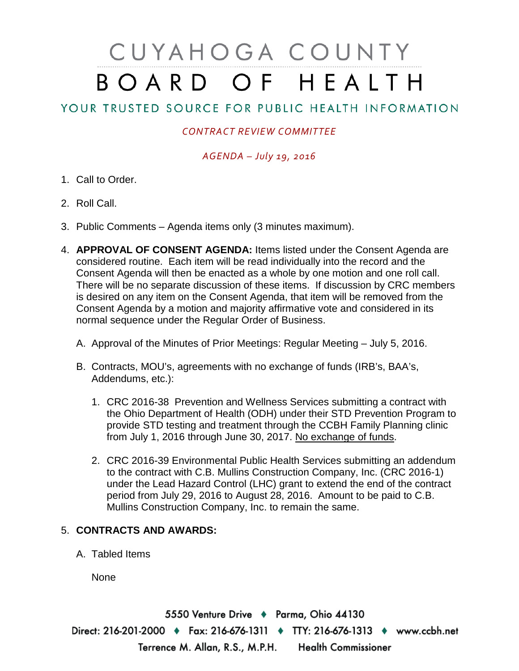# CUYAHOGA COUNTY BOARD OF HEALTH

## YOUR TRUSTED SOURCE FOR PUBLIC HEALTH INFORMATION

#### *CONTRACT REVIEW COMMITTEE*

### *AGENDA – July 19, 2016*

- 1. Call to Order.
- 2. Roll Call.
- 3. Public Comments Agenda items only (3 minutes maximum).
- 4. **APPROVAL OF CONSENT AGENDA:** Items listed under the Consent Agenda are considered routine. Each item will be read individually into the record and the Consent Agenda will then be enacted as a whole by one motion and one roll call. There will be no separate discussion of these items. If discussion by CRC members is desired on any item on the Consent Agenda, that item will be removed from the Consent Agenda by a motion and majority affirmative vote and considered in its normal sequence under the Regular Order of Business.
	- A. Approval of the Minutes of Prior Meetings: Regular Meeting July 5, 2016.
	- B. Contracts, MOU's, agreements with no exchange of funds (IRB's, BAA's, Addendums, etc.):
		- 1. CRC 2016-38 Prevention and Wellness Services submitting a contract with the Ohio Department of Health (ODH) under their STD Prevention Program to provide STD testing and treatment through the CCBH Family Planning clinic from July 1, 2016 through June 30, 2017. No exchange of funds.
		- 2. CRC 2016-39 Environmental Public Health Services submitting an addendum to the contract with C.B. Mullins Construction Company, Inc. (CRC 2016-1) under the Lead Hazard Control (LHC) grant to extend the end of the contract period from July 29, 2016 to August 28, 2016. Amount to be paid to C.B. Mullins Construction Company, Inc. to remain the same.

#### 5. **CONTRACTS AND AWARDS:**

A. Tabled Items

None

5550 Venture Drive + Parma, Ohio 44130 Direct: 216-201-2000 • Fax: 216-676-1311 • TTY: 216-676-1313 • www.ccbh.net Terrence M. Allan, R.S., M.P.H. Health Commissioner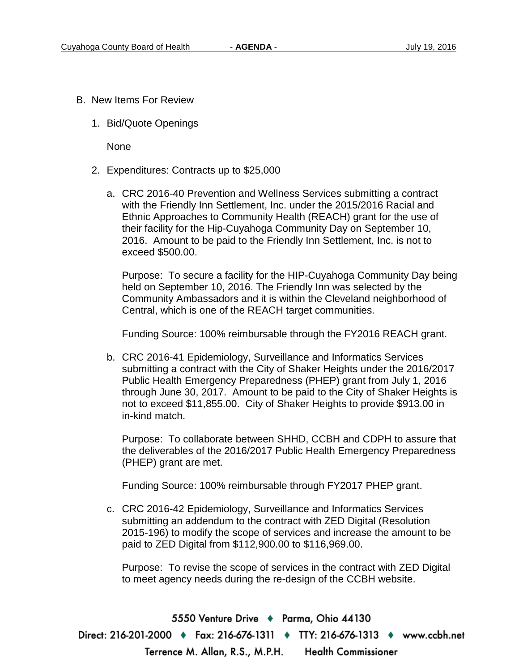- B. New Items For Review
	- 1. Bid/Quote Openings

None

- 2. Expenditures: Contracts up to \$25,000
	- a. CRC 2016-40 Prevention and Wellness Services submitting a contract with the Friendly Inn Settlement, Inc. under the 2015/2016 Racial and Ethnic Approaches to Community Health (REACH) grant for the use of their facility for the Hip-Cuyahoga Community Day on September 10, 2016. Amount to be paid to the Friendly Inn Settlement, Inc. is not to exceed \$500.00.

Purpose: To secure a facility for the HIP-Cuyahoga Community Day being held on September 10, 2016. The Friendly Inn was selected by the Community Ambassadors and it is within the Cleveland neighborhood of Central, which is one of the REACH target communities.

Funding Source: 100% reimbursable through the FY2016 REACH grant.

b. CRC 2016-41 Epidemiology, Surveillance and Informatics Services submitting a contract with the City of Shaker Heights under the 2016/2017 Public Health Emergency Preparedness (PHEP) grant from July 1, 2016 through June 30, 2017. Amount to be paid to the City of Shaker Heights is not to exceed \$11,855.00. City of Shaker Heights to provide \$913.00 in in-kind match.

Purpose: To collaborate between SHHD, CCBH and CDPH to assure that the deliverables of the 2016/2017 Public Health Emergency Preparedness (PHEP) grant are met.

Funding Source: 100% reimbursable through FY2017 PHEP grant.

c. CRC 2016-42 Epidemiology, Surveillance and Informatics Services submitting an addendum to the contract with ZED Digital (Resolution 2015-196) to modify the scope of services and increase the amount to be paid to ZED Digital from \$112,900.00 to \$116,969.00.

Purpose: To revise the scope of services in the contract with ZED Digital to meet agency needs during the re-design of the CCBH website.

5550 Venture Drive + Parma, Ohio 44130 Direct: 216-201-2000 ♦ Fax: 216-676-1311 ♦ TTY: 216-676-1313 ♦ www.ccbh.net Terrence M. Allan, R.S., M.P.H. Health Commissioner